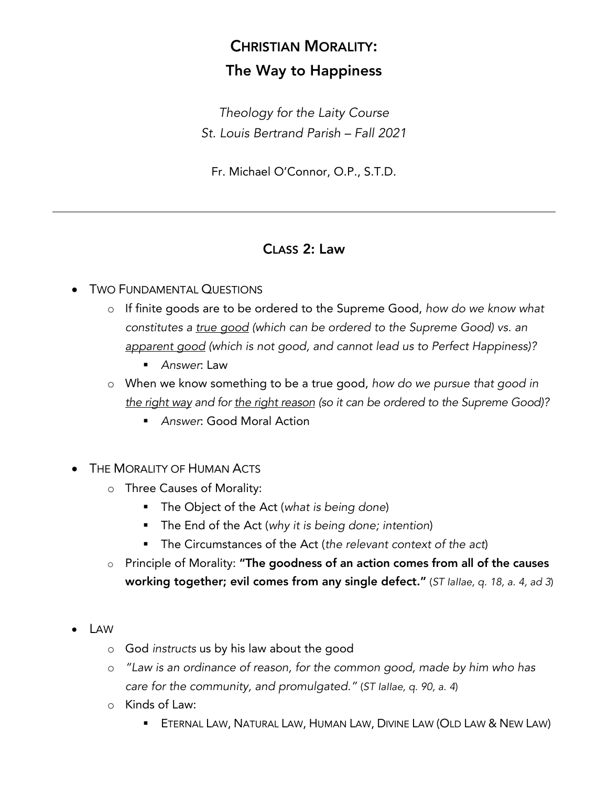## CHRISTIAN MORALITY: The Way to Happiness

*Theology for the Laity Course St. Louis Bertrand Parish – Fall 2021*

Fr. Michael O'Connor, O.P., S.T.D.

## CLASS 2: Law

## • TWO FUNDAMENTAL QUESTIONS

- o If finite goods are to be ordered to the Supreme Good, *how do we know what constitutes a true good (which can be ordered to the Supreme Good) vs. an apparent good (which is not good, and cannot lead us to Perfect Happiness)?*
	- § *Answer*: Law
- o When we know something to be a true good, *how do we pursue that good in the right way and for the right reason (so it can be ordered to the Supreme Good)?*
	- § *Answer*: Good Moral Action
- THE MORALITY OF HUMAN ACTS
	- o Three Causes of Morality:
		- § The Object of the Act (*what is being done*)
		- § The End of the Act (*why it is being done; intention*)
		- The Circumstances of the Act (*the relevant context of the act*)
	- o Principle of Morality: "The goodness of an action comes from all of the causes working together; evil comes from any single defect." (*ST IaIIae, q. 18, a. 4, ad 3*)
- LAW
	- o God *instructs* us by his law about the good
	- o *"Law is an ordinance of reason, for the common good, made by him who has care for the community, and promulgated."* (*ST IaIIae, q. 90, a. 4*)
	- o Kinds of Law:
		- **ETERNAL LAW, NATURAL LAW, HUMAN LAW, DIVINE LAW (OLD LAW & NEW LAW)**